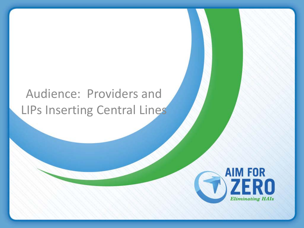### Audience: Providers and LIPs Inserting Central Lines

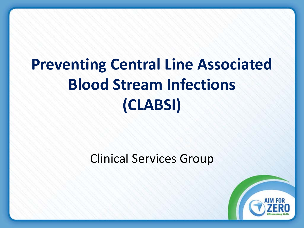# **Preventing Central Line Associated Blood Stream Infections (CLABSI)**

#### Clinical Services Group

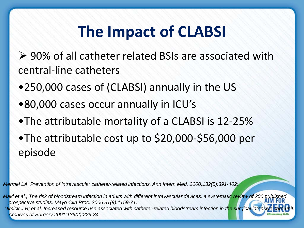# **The Impact of CLABSI**

▶ 90% of all catheter related BSIs are associated with central-line catheters

- •250,000 cases of (CLABSI) annually in the US
- •80,000 cases occur annually in ICU's
- •The attributable mortality of a CLABSI is 12-25%

•The attributable cost up to \$20,000-\$56,000 per episode

*Mermel LA. Prevention of intravascular catheter-related infections. Ann Intern Med. 2000;132(5):391-402:* 

*Maki et al., The risk of bloodstream infection in adults with different intravascular devices: a systematic review of 200 published prospective studies. Mayo Clin Proc. 2006 81(9):1159-71.*

*Dimick J B; et al. Increased resource use associated with catheter-related bloodstream infection in the surgical intensity Archives of Surgery 2001;136(2):229-34.*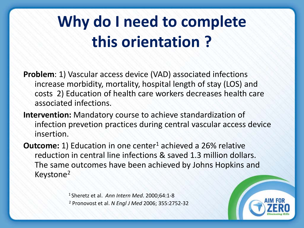# **Why do I need to complete this orientation ?**

**Problem**: 1) Vascular access device (VAD) associated infections increase morbidity, mortality, hospital length of stay (LOS) and costs 2) Education of health care workers decreases health care associated infections.

**Intervention:** Mandatory course to achieve standardization of infection prevetion practices during central vascular access device insertion.

**Outcome:** 1) Education in one center<sup>1</sup> achieved a 26% relative reduction in central line infections & saved 1.3 million dollars. The same outcomes have been achieved by Johns Hopkins and Keystone2

> 1 Sheretz et al. *Ann Intern Med*. 2000;64:1-8 <sup>2</sup> Pronovost et al. *N Engl J Med* 2006; 355:2752-32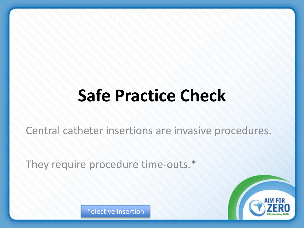# **Safe Practice Check**

Central catheter insertions are invasive procedures.

They require procedure time-outs.\*



\*elective insertion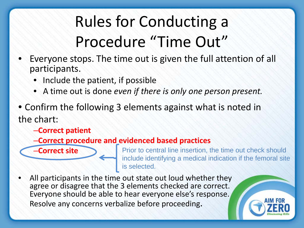# Rules for Conducting a Procedure "Time Out"

- Everyone stops. The time out is given the full attention of all participants.
	- Include the patient, if possible
	- A time out is done *even if there is only one person present.*
- Confirm the following 3 elements against what is noted in the chart:
	- –**Correct patient**

–**Correct site**

#### –**Correct procedure and evidenced based practices**

Prior to central line insertion, the time out check should include identifying a medical indication if the femoral site is selected.

All participants in the time out state out loud whether they agree or disagree that the 3 elements checked are correct. Everyone should be able to hear everyone else's response. Resolve any concerns verbalize before proceeding.

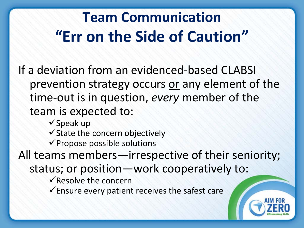# **Team Communication "Err on the Side of Caution"**

If a deviation from an evidenced-based CLABSI prevention strategy occurs or any element of the time-out is in question, *every* member of the team is expected to:

 $\checkmark$  Speak up

 $\checkmark$  State the concern objectively

 $\checkmark$  Propose possible solutions

All teams members—irrespective of their seniority;

status; or position—work cooperatively to:

 $\checkmark$  Resolve the concern

 $\checkmark$  Ensure every patient receives the safest care

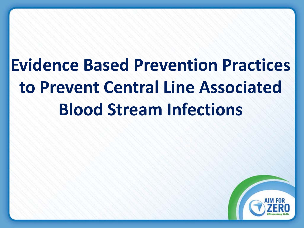**Evidence Based Prevention Practices to Prevent Central Line Associated Blood Stream Infections**

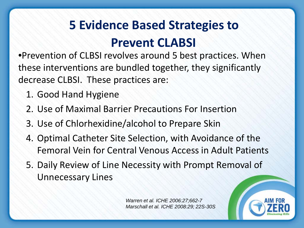### **5 Evidence Based Strategies to Prevent CLABSI**

•Prevention of CLBSI revolves around 5 best practices. When these interventions are bundled together, they significantly decrease CLBSI. These practices are:

- 1. Good Hand Hygiene
- 2. Use of Maximal Barrier Precautions For Insertion
- 3. Use of Chlorhexidine/alcohol to Prepare Skin
- 4. Optimal Catheter Site Selection, with Avoidance of the Femoral Vein for Central Venous Access in Adult Patients
- 5. Daily Review of Line Necessity with Prompt Removal of Unnecessary Lines

*Warren et al. ICHE 2006:27;662-7 Marschall et al. ICHE 2008:29; 22S-30S*

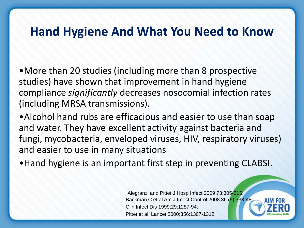#### **Hand Hygiene And What You Need to Know**

•More than 20 studies (including more than 8 prospective studies) have shown that improvement in hand hygiene compliance *significantly* decreases nosocomial infection rates (including MRSA transmissions).

•Alcohol hand rubs are efficacious and easier to use than soap and water. They have excellent activity against bacteria and fungi, mycobacteria, enveloped viruses, HIV, respiratory viruses) and easier to use in many situations

•Hand hygiene is an important first step in preventing CLABSI.

Alegranzi and Pittet J Hosp Infect 2009 73:305-315; Backman C et al Am J Infect Control 2008 36 (5):333-48; Clin Infect Dis 1999;29:1287-94; Pittet et al. Lancet 2000;356:1307-1312

AIM FO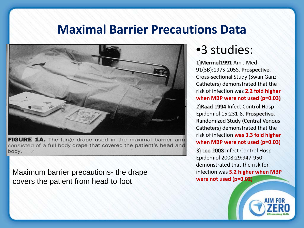#### **Maximal Barrier Precautions Data**



**FIGURE 1A.** The large drape used in the maximal barrier arm consisted of a full body drape that covered the patient's head and body.

Maximum barrier precautions- the drape covers the patient from head to foot

#### •3 studies:

1)Mermel1991 Am J Med 91(3B):197S-205S. Prospective, Cross-sectional Study (Swan Ganz Catheters) demonstrated that the risk of infection was **2.2 fold higher when MBP were not used (p=0.03)**

2)Raad 1994 Infect Control Hosp Epidemiol 15:231-8. Prospective, Randomized Study (Central Venous Catheters) demonstrated that the risk of infection **was 3.3 fold higher when MBP were not used (p=0.03)** 

3) Lee 2008 Infect Control Hosp Epidemiol 2008;29:947-950 demonstrated that the risk for infection was **5.2 higher when MBP were not used (p=0.02)**

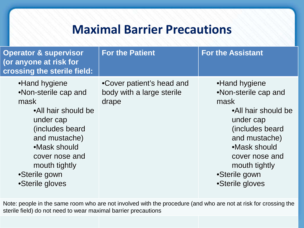#### **Maximal Barrier Precautions**

| <b>Operator &amp; supervisor</b><br>(or anyone at risk for<br>crossing the sterile field:                                                                                                                    | <b>For the Patient</b>                                          | <b>For the Assistant</b>                                                                                                                                                                                     |
|--------------------------------------------------------------------------------------------------------------------------------------------------------------------------------------------------------------|-----------------------------------------------------------------|--------------------------------------------------------------------------------------------------------------------------------------------------------------------------------------------------------------|
| •Hand hygiene<br>•Non-sterile cap and<br>mask<br>•All hair should be<br>under cap<br>(includes beard<br>and mustache)<br>•Mask should<br>cover nose and<br>mouth tightly<br>•Sterile gown<br>•Sterile gloves | •Cover patient's head and<br>body with a large sterile<br>drape | •Hand hygiene<br>•Non-sterile cap and<br>mask<br>•All hair should be<br>under cap<br>(includes beard<br>and mustache)<br>•Mask should<br>cover nose and<br>mouth tightly<br>•Sterile gown<br>•Sterile gloves |

Note: people in the same room who are not involved with the procedure (and who are not at risk for crossing the sterile field) do not need to wear maximal barrier precautions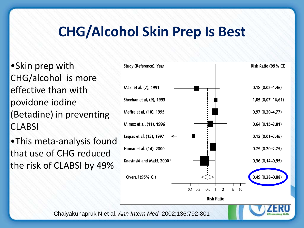### **CHG/Alcohol Skin Prep Is Best**

•Skin prep with CHG/alcohol is more effective than with povidone iodine (Betadine) in preventing **CLABSI** 

•This meta-analysis found that use of CHG reduced the risk of CLABSI by 49%



Chaiyakunapruk N et al. *Ann Intern Med.* 2002;136:792-801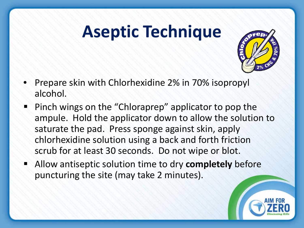# **Aseptic Technique**



- Prepare skin with Chlorhexidine 2% in 70% isopropyl alcohol.
- Pinch wings on the "Chloraprep" applicator to pop the ampule. Hold the applicator down to allow the solution to saturate the pad. Press sponge against skin, apply chlorhexidine solution using a back and forth friction scrub for at least 30 seconds. Do not wipe or blot.
- Allow antiseptic solution time to dry **completely** before puncturing the site (may take 2 minutes).

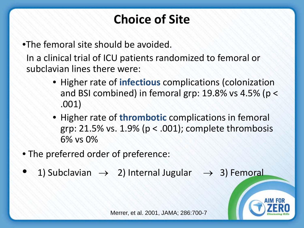### **Choice of Site**

•The femoral site should be avoided.

In a clinical trial of ICU patients randomized to femoral or subclavian lines there were:

- Higher rate of **infectious** complications (colonization and BSI combined) in femoral grp: 19.8% vs 4.5% (p < .001)
- Higher rate of **thrombotic** complications in femoral grp:  $21.5\%$  vs.  $1.9\%$  (p < .001); complete thrombosis 6% vs 0%
- The preferred order of preference:
- 1) Subclavian  $\rightarrow$  2) Internal Jugular  $\rightarrow$  3) Femoral



Merrer, et al. 2001, JAMA; 286:700-7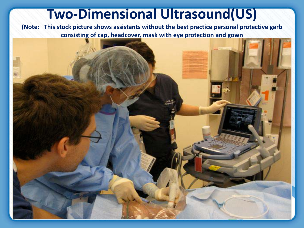#### **Two-Dimensional Ultrasound(US)**

**(Note: This stock picture shows assistants without the best practice personal protective garb consisting of cap, headcover, mask with eye protection and gown**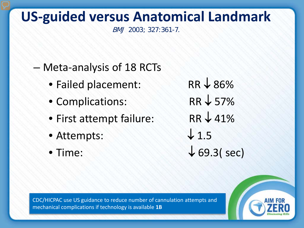### **US-guided versus Anatomical Landmark**

BMJ 2003; 327:361-7.

#### – Meta-analysis of 18 RCTs

- Failed placement: RR ↓ 86%
- Complications: RR ↓ 57%
- First attempt failure: RR ↓ 41%
- Attempts:  $\downarrow$  1.5
- 

• Time:  $\sqrt{69.3}$  (sec)

CDC/HICPAC use US guidance to reduce number of cannulation attempts and mechanical complications if technology is available **1B**

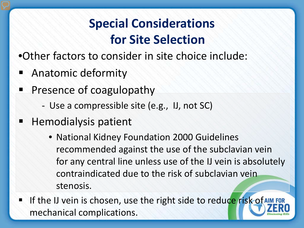### **Special Considerations for Site Selection**

- •Other factors to consider in site choice include:
- **Anatomic deformity**
- **Presence of coagulopathy** 
	- Use a compressible site (e.g., IJ, not SC)
- Hemodialysis patient
	- National Kidney Foundation 2000 Guidelines recommended against the use of the subclavian vein for any central line unless use of the IJ vein is absolutely contraindicated due to the risk of subclavian vein stenosis.
- If the IJ vein is chosen, use the right side to reduce risk of AIM FOR mechanical complications.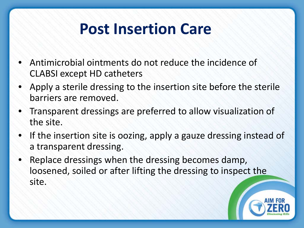# **Post Insertion Care**

- Antimicrobial ointments do not reduce the incidence of CLABSI except HD catheters
- Apply a sterile dressing to the insertion site before the sterile barriers are removed.
- Transparent dressings are preferred to allow visualization of the site.
- If the insertion site is oozing, apply a gauze dressing instead of a transparent dressing.
- Replace dressings when the dressing becomes damp, loosened, soiled or after lifting the dressing to inspect the site.

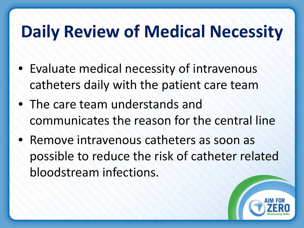# **Daily Review of Medical Necessity**

- Evaluate medical necessity of intravenous catheters daily with the patient care team
- The care team understands and communicates the reason for the central line
- Remove intravenous catheters as soon as possible to reduce the risk of catheter related bloodstream infections.

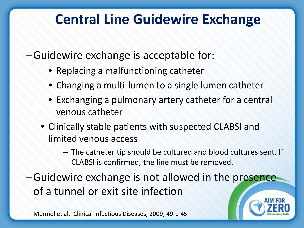### **Central Line Guidewire Exchange**

–Guidewire exchange is acceptable for:

- Replacing a malfunctioning catheter
- Changing a multi-lumen to a single lumen catheter
- Exchanging a pulmonary artery catheter for a central venous catheter
- Clinically stable patients with suspected CLABSI and limited venous access
	- The catheter tip should be cultured and blood cultures sent. If CLABSI is confirmed, the line must be removed.

–Guidewire exchange is not allowed in the presence of a tunnel or exit site infection

Mermel et al. Clinical Infectious Diseases, 2009; 49:1-45.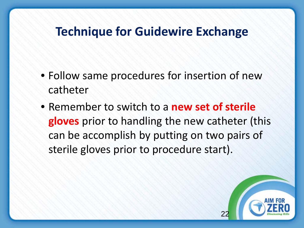#### **Technique for Guidewire Exchange**

- Follow same procedures for insertion of new catheter
- Remember to switch to a **new set of sterile gloves** prior to handling the new catheter (this can be accomplish by putting on two pairs of sterile gloves prior to procedure start).

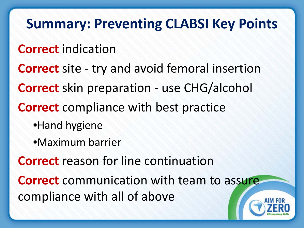### **Summary: Preventing CLABSI Key Points**

#### **Correct** indication

**Correct** site - try and avoid femoral insertion

**Correct** skin preparation - use CHG/alcohol

**Correct** compliance with best practice

•Hand hygiene

•Maximum barrier

**Correct** reason for line continuation

**Correct** communication with team to assure compliance with all of above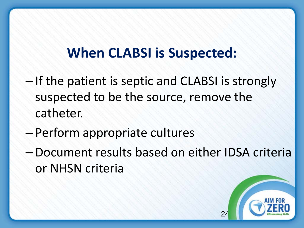### **When CLABSI is Suspected:**

- If the patient is septic and CLABSI is strongly suspected to be the source, remove the catheter.
- Perform appropriate cultures
- –Document results based on either IDSA criteria or NHSN criteria

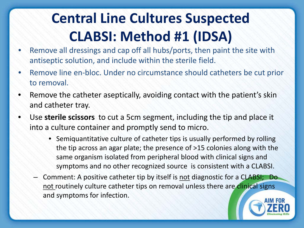## **Central Line Cultures Suspected CLABSI: Method #1 (IDSA)**

- Remove all dressings and cap off all hubs/ports, then paint the site with antiseptic solution, and include within the sterile field.
- Remove line en-bloc. Under no circumstance should catheters be cut prior to removal.
- Remove the catheter aseptically, avoiding contact with the patient's skin and catheter tray.
- Use **sterile scissors** to cut a 5cm segment, including the tip and place it into a culture container and promptly send to micro.
	- Semiquantitative culture of catheter tips is usually performed by rolling the tip across an agar plate; the presence of >15 colonies along with the same organism isolated from peripheral blood with clinical signs and symptoms and no other recognized source is consistent with a CLABSI.
	- Comment: A positive catheter tip by itself is not diagnostic for a CLABSI; Do not routinely culture catheter tips on removal unless there are clinical signs and symptoms for infection.

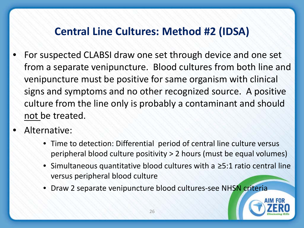#### **Central Line Cultures: Method #2 (IDSA)**

- For suspected CLABSI draw one set through device and one set from a separate venipuncture. Blood cultures from both line and venipuncture must be positive for same organism with clinical signs and symptoms and no other recognized source. A positive culture from the line only is probably a contaminant and should not be treated.
- Alternative:
	- Time to detection: Differential period of central line culture versus peripheral blood culture positivity > 2 hours (must be equal volumes)
	- Simultaneous quantitative blood cultures with a ≥5:1 ratio central line versus peripheral blood culture
	- Draw 2 separate venipuncture blood cultures-see NHSN criteria